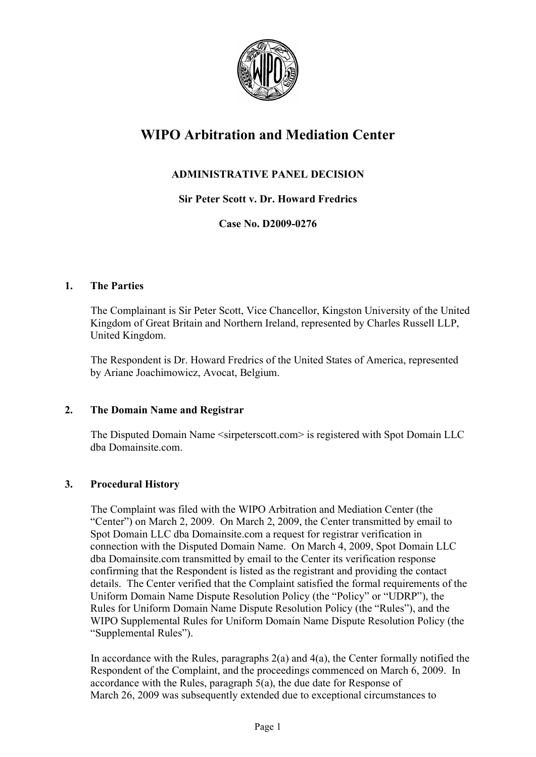

# **WIPO Arbitration and Mediation Center**

# **ADMINISTRATIVE PANEL DECISION**

**Sir Peter Scott v. Dr. Howard Fredrics**

**Case No. D2009-0276**

## **1. The Parties**

The Complainant is Sir Peter Scott, Vice Chancellor, Kingston University of the United Kingdom of Great Britain and Northern Ireland, represented by Charles Russell LLP, United Kingdom.

The Respondent is Dr. Howard Fredrics of the United States of America, represented by Ariane Joachimowicz, Avocat, Belgium.

## **2. The Domain Name and Registrar**

The Disputed Domain Name <sirpeterscott.com> is registered with Spot Domain LLC dba Domainsite.com.

## **3. Procedural History**

The Complaint was filed with the WIPO Arbitration and Mediation Center (the "Center") on March 2, 2009. On March 2, 2009, the Center transmitted by email to Spot Domain LLC dba Domainsite.com a request for registrar verification in connection with the Disputed Domain Name. On March 4, 2009, Spot Domain LLC dba Domainsite.com transmitted by email to the Center its verification response confirming that the Respondent is listed as the registrant and providing the contact details. The Center verified that the Complaint satisfied the formal requirements of the Uniform Domain Name Dispute Resolution Policy (the "Policy" or "UDRP"), the Rules for Uniform Domain Name Dispute Resolution Policy (the "Rules"), and the WIPO Supplemental Rules for Uniform Domain Name Dispute Resolution Policy (the "Supplemental Rules").

In accordance with the Rules, paragraphs 2(a) and 4(a), the Center formally notified the Respondent of the Complaint, and the proceedings commenced on March 6, 2009. In accordance with the Rules, paragraph 5(a), the due date for Response of March 26, 2009 was subsequently extended due to exceptional circumstances to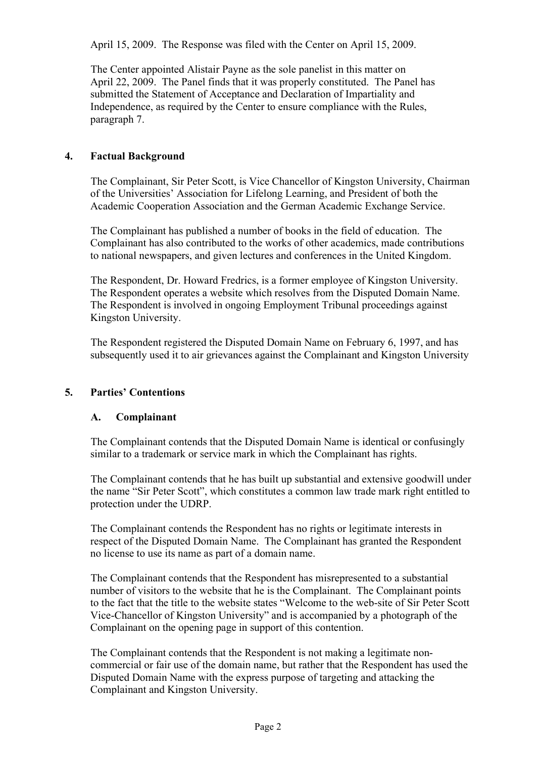April 15, 2009. The Response was filed with the Center on April 15, 2009.

The Center appointed Alistair Payne as the sole panelist in this matter on April 22, 2009. The Panel finds that it was properly constituted. The Panel has submitted the Statement of Acceptance and Declaration of Impartiality and Independence, as required by the Center to ensure compliance with the Rules, paragraph 7.

#### **4. Factual Background**

The Complainant, Sir Peter Scott, is Vice Chancellor of Kingston University, Chairman of the Universities' Association for Lifelong Learning, and President of both the Academic Cooperation Association and the German Academic Exchange Service.

The Complainant has published a number of books in the field of education. The Complainant has also contributed to the works of other academics, made contributions to national newspapers, and given lectures and conferences in the United Kingdom.

The Respondent, Dr. Howard Fredrics, is a former employee of Kingston University. The Respondent operates a website which resolves from the Disputed Domain Name. The Respondent is involved in ongoing Employment Tribunal proceedings against Kingston University.

The Respondent registered the Disputed Domain Name on February 6, 1997, and has subsequently used it to air grievances against the Complainant and Kingston University

#### **5. Parties' Contentions**

#### **A. Complainant**

The Complainant contends that the Disputed Domain Name is identical or confusingly similar to a trademark or service mark in which the Complainant has rights.

The Complainant contends that he has built up substantial and extensive goodwill under the name "Sir Peter Scott", which constitutes a common law trade mark right entitled to protection under the UDRP.

The Complainant contends the Respondent has no rights or legitimate interests in respect of the Disputed Domain Name. The Complainant has granted the Respondent no license to use its name as part of a domain name.

The Complainant contends that the Respondent has misrepresented to a substantial number of visitors to the website that he is the Complainant. The Complainant points to the fact that the title to the website states "Welcome to the web-site of Sir Peter Scott Vice-Chancellor of Kingston University" and is accompanied by a photograph of the Complainant on the opening page in support of this contention.

The Complainant contends that the Respondent is not making a legitimate noncommercial or fair use of the domain name, but rather that the Respondent has used the Disputed Domain Name with the express purpose of targeting and attacking the Complainant and Kingston University.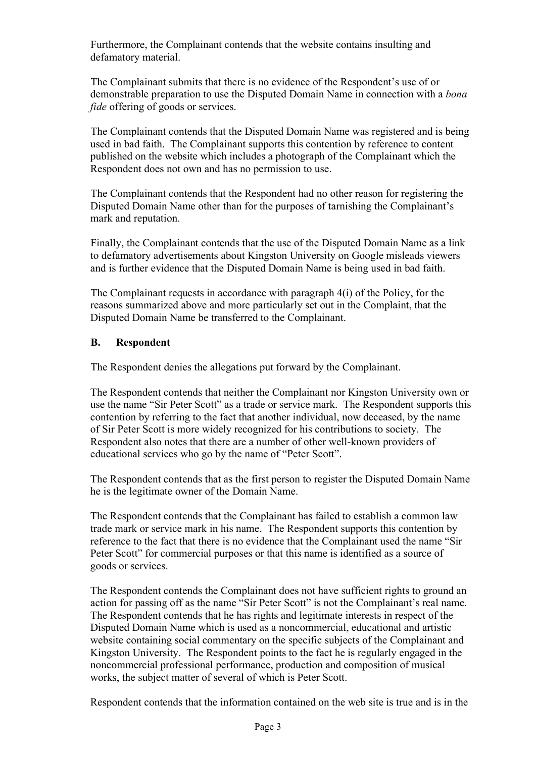Furthermore, the Complainant contends that the website contains insulting and defamatory material.

The Complainant submits that there is no evidence of the Respondent's use of or demonstrable preparation to use the Disputed Domain Name in connection with a *bona fide* offering of goods or services.

The Complainant contends that the Disputed Domain Name was registered and is being used in bad faith. The Complainant supports this contention by reference to content published on the website which includes a photograph of the Complainant which the Respondent does not own and has no permission to use.

The Complainant contends that the Respondent had no other reason for registering the Disputed Domain Name other than for the purposes of tarnishing the Complainant's mark and reputation.

Finally, the Complainant contends that the use of the Disputed Domain Name as a link to defamatory advertisements about Kingston University on Google misleads viewers and is further evidence that the Disputed Domain Name is being used in bad faith.

The Complainant requests in accordance with paragraph 4(i) of the Policy, for the reasons summarized above and more particularly set out in the Complaint, that the Disputed Domain Name be transferred to the Complainant.

## **B. Respondent**

The Respondent denies the allegations put forward by the Complainant.

The Respondent contends that neither the Complainant nor Kingston University own or use the name "Sir Peter Scott" as a trade or service mark. The Respondent supports this contention by referring to the fact that another individual, now deceased, by the name of Sir Peter Scott is more widely recognized for his contributions to society. The Respondent also notes that there are a number of other well-known providers of educational services who go by the name of "Peter Scott".

The Respondent contends that as the first person to register the Disputed Domain Name he is the legitimate owner of the Domain Name.

The Respondent contends that the Complainant has failed to establish a common law trade mark or service mark in his name. The Respondent supports this contention by reference to the fact that there is no evidence that the Complainant used the name "Sir Peter Scott" for commercial purposes or that this name is identified as a source of goods or services.

The Respondent contends the Complainant does not have sufficient rights to ground an action for passing off as the name "Sir Peter Scott" is not the Complainant's real name. The Respondent contends that he has rights and legitimate interests in respect of the Disputed Domain Name which is used as a noncommercial, educational and artistic website containing social commentary on the specific subjects of the Complainant and Kingston University. The Respondent points to the fact he is regularly engaged in the noncommercial professional performance, production and composition of musical works, the subject matter of several of which is Peter Scott.

Respondent contends that the information contained on the web site is true and is in the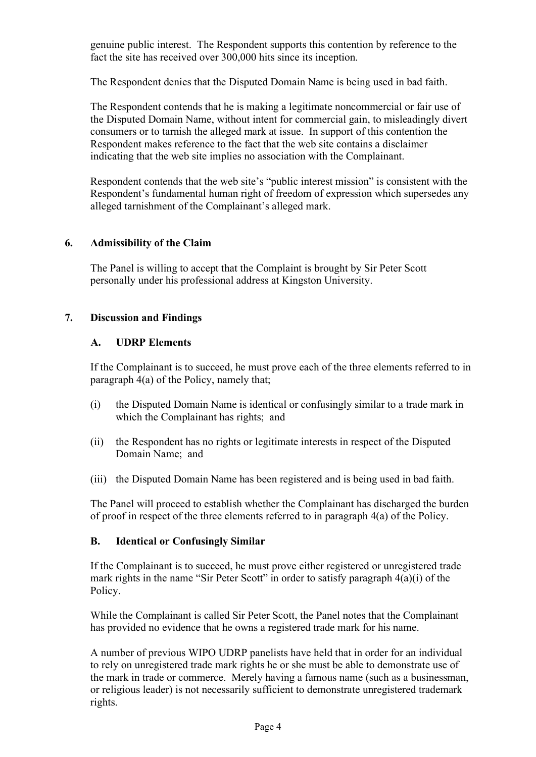genuine public interest. The Respondent supports this contention by reference to the fact the site has received over 300,000 hits since its inception.

The Respondent denies that the Disputed Domain Name is being used in bad faith.

The Respondent contends that he is making a legitimate noncommercial or fair use of the Disputed Domain Name, without intent for commercial gain, to misleadingly divert consumers or to tarnish the alleged mark at issue. In support of this contention the Respondent makes reference to the fact that the web site contains a disclaimer indicating that the web site implies no association with the Complainant.

Respondent contends that the web site's "public interest mission" is consistent with the Respondent's fundamental human right of freedom of expression which supersedes any alleged tarnishment of the Complainant's alleged mark.

## **6. Admissibility of the Claim**

The Panel is willing to accept that the Complaint is brought by Sir Peter Scott personally under his professional address at Kingston University.

#### **7. Discussion and Findings**

#### **A. UDRP Elements**

If the Complainant is to succeed, he must prove each of the three elements referred to in paragraph 4(a) of the Policy, namely that;

- (i) the Disputed Domain Name is identical or confusingly similar to a trade mark in which the Complainant has rights; and
- (ii) the Respondent has no rights or legitimate interests in respect of the Disputed Domain Name; and
- (iii) the Disputed Domain Name has been registered and is being used in bad faith.

The Panel will proceed to establish whether the Complainant has discharged the burden of proof in respect of the three elements referred to in paragraph 4(a) of the Policy.

## **B. Identical or Confusingly Similar**

If the Complainant is to succeed, he must prove either registered or unregistered trade mark rights in the name "Sir Peter Scott" in order to satisfy paragraph 4(a)(i) of the Policy.

While the Complainant is called Sir Peter Scott, the Panel notes that the Complainant has provided no evidence that he owns a registered trade mark for his name.

A number of previous WIPO UDRP panelists have held that in order for an individual to rely on unregistered trade mark rights he or she must be able to demonstrate use of the mark in trade or commerce. Merely having a famous name (such as a businessman, or religious leader) is not necessarily sufficient to demonstrate unregistered trademark rights.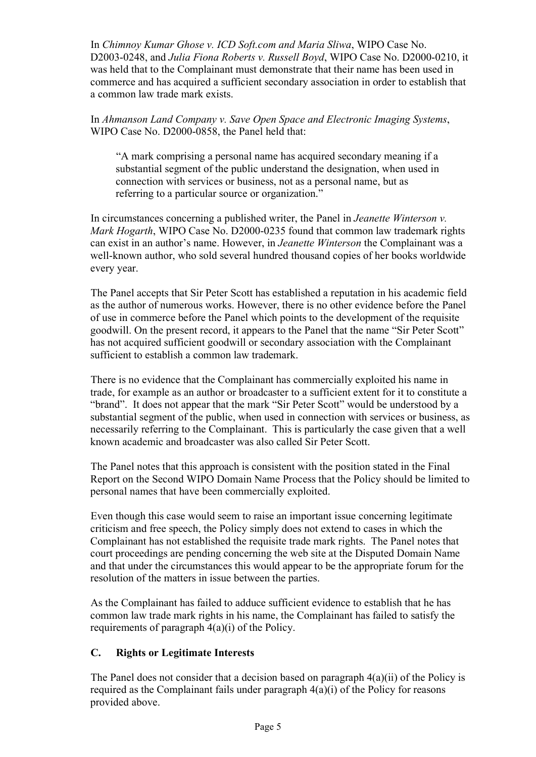In *Chimnoy Kumar Ghose v. ICD Soft.com and Maria Sliwa*, WIPO Case No. D2003-0248, and *Julia Fiona Roberts v. Russell Boyd*, WIPO Case No. D2000-0210, it was held that to the Complainant must demonstrate that their name has been used in commerce and has acquired a sufficient secondary association in order to establish that a common law trade mark exists.

In *Ahmanson Land Company v. Save Open Space and Electronic Imaging Systems*, WIPO Case No. D2000-0858, the Panel held that:

"A mark comprising a personal name has acquired secondary meaning if a substantial segment of the public understand the designation, when used in connection with services or business, not as a personal name, but as referring to a particular source or organization."

In circumstances concerning a published writer, the Panel in *Jeanette Winterson v. Mark Hogarth*, WIPO Case No. D2000-0235 found that common law trademark rights can exist in an author's name. However, in *Jeanette Winterson* the Complainant was a well-known author, who sold several hundred thousand copies of her books worldwide every year.

The Panel accepts that Sir Peter Scott has established a reputation in his academic field as the author of numerous works. However, there is no other evidence before the Panel of use in commerce before the Panel which points to the development of the requisite goodwill. On the present record, it appears to the Panel that the name "Sir Peter Scott" has not acquired sufficient goodwill or secondary association with the Complainant sufficient to establish a common law trademark.

There is no evidence that the Complainant has commercially exploited his name in trade, for example as an author or broadcaster to a sufficient extent for it to constitute a "brand". It does not appear that the mark "Sir Peter Scott" would be understood by a substantial segment of the public, when used in connection with services or business, as necessarily referring to the Complainant. This is particularly the case given that a well known academic and broadcaster was also called Sir Peter Scott.

The Panel notes that this approach is consistent with the position stated in the Final Report on the Second WIPO Domain Name Process that the Policy should be limited to personal names that have been commercially exploited.

Even though this case would seem to raise an important issue concerning legitimate criticism and free speech, the Policy simply does not extend to cases in which the Complainant has not established the requisite trade mark rights. The Panel notes that court proceedings are pending concerning the web site at the Disputed Domain Name and that under the circumstances this would appear to be the appropriate forum for the resolution of the matters in issue between the parties.

As the Complainant has failed to adduce sufficient evidence to establish that he has common law trade mark rights in his name, the Complainant has failed to satisfy the requirements of paragraph 4(a)(i) of the Policy.

## **C. Rights or Legitimate Interests**

The Panel does not consider that a decision based on paragraph  $4(a)(ii)$  of the Policy is required as the Complainant fails under paragraph 4(a)(i) of the Policy for reasons provided above.